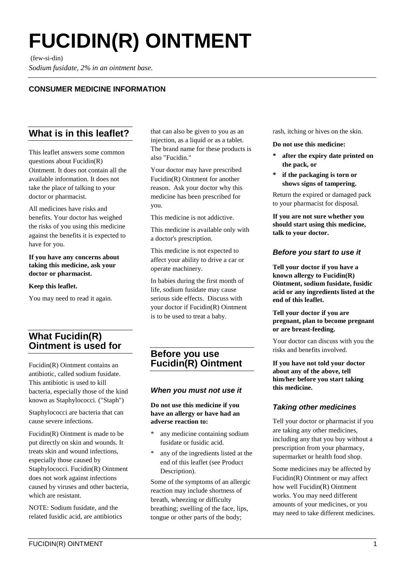# **FUCIDIN(R) OINTMENT**

(few-si-din)

*Sodium fusidate, 2% in an ointment base.*

## **CONSUMER MEDICINE INFORMATION**

# **What is in this leaflet?**

This leaflet answers some common questions about Fucidin(R) Ointment. It does not contain all the available information. It does not take the place of talking to your doctor or pharmacist.

All medicines have risks and benefits. Your doctor has weighed the risks of you using this medicine against the benefits it is expected to have for you.

**If you have any concerns about taking this medicine, ask your doctor or pharmacist.**

#### **Keep this leaflet.**

You may need to read it again.

# **What Fucidin(R) Ointment is used for**

Fucidin(R) Ointment contains an antibiotic, called sodium fusidate. This antibiotic is used to kill bacteria, especially those of the kind known as Staphylococci. ("Staph")

Staphylococci are bacteria that can cause severe infections.

Fucidin(R) Ointment is made to be put directly on skin and wounds. It treats skin and wound infections, especially those caused by Staphylococci. Fucidin(R) Ointment does not work against infections caused by viruses and other bacteria, which are resistant.

NOTE: Sodium fusidate, and the related fusidic acid, are antibiotics that can also be given to you as an injection, as a liquid or as a tablet. The brand name for these products is also "Fucidin."

Your doctor may have prescribed Fucidin(R) Ointment for another reason. Ask your doctor why this medicine has been prescribed for you.

This medicine is not addictive.

This medicine is available only with a doctor's prescription.

This medicine is not expected to affect your ability to drive a car or operate machinery.

In babies during the first month of life, sodium fusidate may cause serious side effects. Discuss with your doctor if Fucidin(R) Ointment is to be used to treat a baby.

# **Before you use Fucidin(R) Ointment**

#### *When you must not use it*

#### **Do not use this medicine if you have an allergy or have had an adverse reaction to:**

- any medicine containing sodium fusidate or fusidic acid.
- any of the ingredients listed at the end of this leaflet (see Product Description).

Some of the symptoms of an allergic reaction may include shortness of breath, wheezing or difficulty breathing; swelling of the face, lips, tongue or other parts of the body;

rash, itching or hives on the skin.

**Do not use this medicine:**

- **\* after the expiry date printed on the pack, or**
- **\* if the packaging is torn or shows signs of tampering.**

Return the expired or damaged pack to your pharmacist for disposal.

**If you are not sure whether you should start using this medicine, talk to your doctor.**

#### *Before you start to use it*

**Tell your doctor if you have a known allergy to Fucidin(R) Ointment, sodium fusidate, fusidic acid or any ingredients listed at the end of this leaflet.**

**Tell your doctor if you are pregnant, plan to become pregnant or are breast-feeding.**

Your doctor can discuss with you the risks and benefits involved.

**If you have not told your doctor about any of the above, tell him/her before you start taking this medicine.**

#### *Taking other medicines*

Tell your doctor or pharmacist if you are taking any other medicines, including any that you buy without a prescription from your pharmacy, supermarket or health food shop.

Some medicines may be affected by Fucidin(R) Ointment or may affect how well Fucidin(R) Ointment works. You may need different amounts of your medicines, or you may need to take different medicines.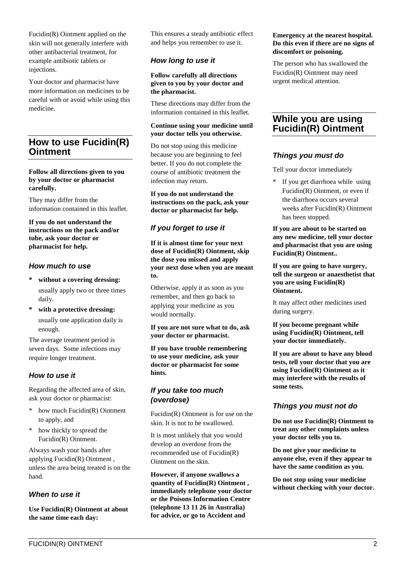Fucidin(R) Ointment applied on the skin will not generally interfere with other antibacterial treatment, for example antibiotic tablets or injections.

Your doctor and pharmacist have more information on medicines to be careful with or avoid while using this medicine.

## **How to use Fucidin(R) Ointment**

#### **Follow all directions given to you by your doctor or pharmacist carefully.**

They may differ from the information contained in this leaflet.

**If you do not understand the instructions on the pack and/or tube, ask your doctor or pharmacist for help.**

#### *How much to use*

- **\* without a covering dressing:** usually apply two or three times daily.
- **\* with a protective dressing:** usually one application daily is enough.

The average treatment period is seven days. Some infections may require longer treatment.

## *How to use it*

Regarding the affected area of skin, ask your doctor or pharmacist:

- how much Fucidin(R) Ointment to apply, and
- \* how thickly to spread the Fucidin(R) Ointment.

Always wash your hands after applying Fucidin(R) Ointment , unless the area being treated is on the hand.

## *When to use it*

**Use Fucidin(R) Ointment at about the same time each day:**

This ensures a steady antibiotic effect and helps you remember to use it.

## *How long to use it*

**Follow carefully all directions given to you by your doctor and the pharmacist.**

These directions may differ from the information contained in this leaflet.

#### **Continue using your medicine until your doctor tells you otherwise.**

Do not stop using this medicine because you are beginning to feel better. If you do not complete the course of antibiotic treatment the infection may return.

**If you do not understand the instructions on the pack, ask your doctor or pharmacist for help.**

## *If you forget to use it*

**If it is almost time for your next dose of Fucidin(R) Ointment, skip the dose you missed and apply your next dose when you are meant to.**

Otherwise, apply it as soon as you remember, and then go back to applying your medicine as you would normally.

**If you are not sure what to do, ask your doctor or pharmacist.**

**If you have trouble remembering to use your medicine, ask your doctor or pharmacist for some hints.**

#### *If you take too much (overdose)*

Fucidin(R) Ointment is for use on the skin. It is not to be swallowed.

It is most unlikely that you would develop an overdose from the recommended use of Fucidin(R) Ointment on the skin.

**However, if anyone swallows a quantity of Fucidin(R) Ointment , immediately telephone your doctor or the Poisons Information Centre (telephone 13 11 26 in Australia) for advice, or go to Accident and**

#### **Emergency at the nearest hospital. Do this even if there are no signs of discomfort or poisoning.**

The person who has swallowed the Fucidin(R) Ointment may need urgent medical attention.

## **While you are using Fucidin(R) Ointment**

#### *Things you must do*

Tell your doctor immediately

\* If you get diarrhoea while using Fucidin(R) Ointment, or even if the diarrhoea occurs several weeks after Fucidin(R) Ointment has been stopped.

**If you are about to be started on any new medicine, tell your doctor and pharmacist that you are using Fucidin(R) Ointment..**

**If you are going to have surgery, tell the surgeon or anaesthetist that you are using Fucidin(R) Ointment.**

It may affect other medicines used during surgery.

**If you become pregnant while using Fucidin(R) Ointment, tell your doctor immediately.**

**If you are about to have any blood tests, tell your doctor that you are using Fucidin(R) Ointment as it may interfere with the results of some tests.**

#### *Things you must not do*

**Do not use Fucidin(R) Ointment to treat any other complaints unless your doctor tells you to.**

**Do not give your medicine to anyone else, even if they appear to have the same condition as you.**

**Do not stop using your medicine without checking with your doctor.**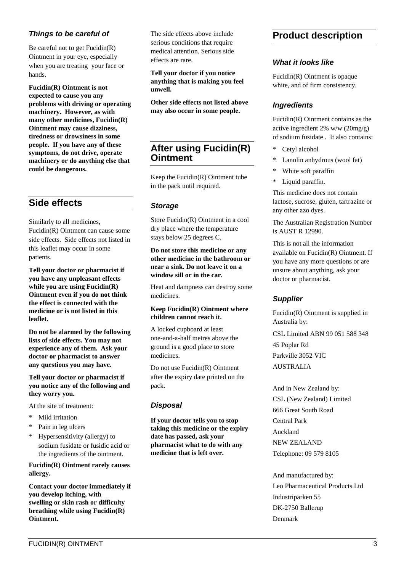#### *Things to be careful of*

Be careful not to get Fucidin(R) Ointment in your eye, especially when you are treating your face or hands.

**Fucidin(R) Ointment is not expected to cause you any problems with driving or operating machinery. However, as with many other medicines, Fucidin(R) Ointment may cause dizziness, tiredness or drowsiness in some people. If you have any of these symptoms, do not drive, operate machinery or do anything else that could be dangerous.**

# **Side effects**

Similarly to all medicines, Fucidin(R) Ointment can cause some side effects. Side effects not listed in this leaflet may occur in some patients.

**Tell your doctor or pharmacist if you have any unpleasant effects while you are using Fucidin(R) Ointment even if you do not think the effect is connected with the medicine or is not listed in this leaflet.**

**Do not be alarmed by the following lists of side effects. You may not experience any of them. Ask your doctor or pharmacist to answer any questions you may have.**

**Tell your doctor or pharmacist if you notice any of the following and they worry you.**

At the site of treatment:

- \* Mild irritation
- \* Pain in leg ulcers
- \* Hypersensitivity (allergy) to sodium fusidate or fusidic acid or the ingredients of the ointment.

**Fucidin(R) Ointment rarely causes allergy.**

**Contact your doctor immediately if you develop itching, with swelling or skin rash or difficulty breathing while using Fucidin(R) Ointment.**

The side effects above include serious conditions that require medical attention. Serious side effects are rare.

**Tell your doctor if you notice anything that is making you feel unwell.**

**Other side effects not listed above may also occur in some people.**

# **After using Fucidin(R) Ointment**

Keep the Fucidin(R) Ointment tube in the pack until required.

#### *Storage*

Store Fucidin(R) Ointment in a cool dry place where the temperature stays below 25 degrees C.

**Do not store this medicine or any other medicine in the bathroom or near a sink. Do not leave it on a window sill or in the car.**

Heat and dampness can destroy some medicines.

#### **Keep Fucidin(R) Ointment where children cannot reach it.**

A locked cupboard at least one-and-a-half metres above the ground is a good place to store medicines.

Do not use Fucidin(R) Ointment after the expiry date printed on the pack.

#### *Disposal*

**If your doctor tells you to stop taking this medicine or the expiry date has passed, ask your pharmacist what to do with any medicine that is left over.**

# **Product description**

#### *What it looks like*

Fucidin(R) Ointment is opaque white, and of firm consistency.

#### *Ingredients*

Fucidin(R) Ointment contains as the active ingredient 2% w/w (20mg/g) of sodium fusidate . It also contains:

- \* Cetyl alcohol
- \* Lanolin anhydrous (wool fat)
- White soft paraffin
- \* Liquid paraffin.

This medicine does not contain lactose, sucrose, gluten, tartrazine or any other azo dyes.

The Australian Registration Number is AUST R 12990.

This is not all the information available on Fucidin(R) Ointment. If you have any more questions or are unsure about anything, ask your doctor or pharmacist.

#### *Supplier*

Fucidin(R) Ointment is supplied in Australia by:

CSL Limited ABN 99 051 588 348 45 Poplar Rd Parkville 3052 VIC AUSTRALIA

And in New Zealand by: CSL (New Zealand) Limited 666 Great South Road Central Park Auckland NEW ZEALAND Telephone: 09 579 8105

And manufactured by: Leo Pharmaceutical Products Ltd Industriparken 55 DK-2750 Ballerup Denmark